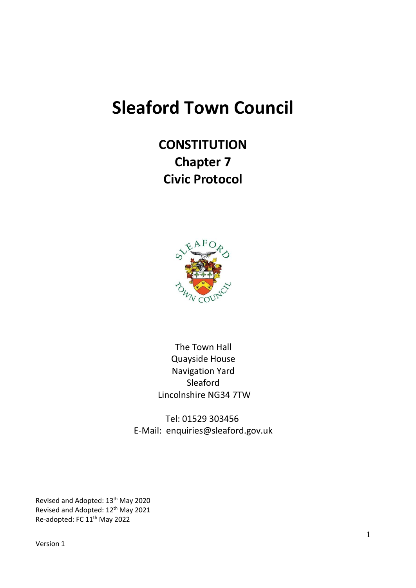# **Sleaford Town Council**

**CONSTITUTION Chapter 7 Civic Protocol**



The Town Hall Quayside House Navigation Yard Sleaford Lincolnshire NG34 7TW

Tel: 01529 303456 E-Mail: enquiries@sleaford.gov.uk

Revised and Adopted: 13th May 2020 Revised and Adopted: 12<sup>th</sup> May 2021 Re-adopted: FC 11th May 2022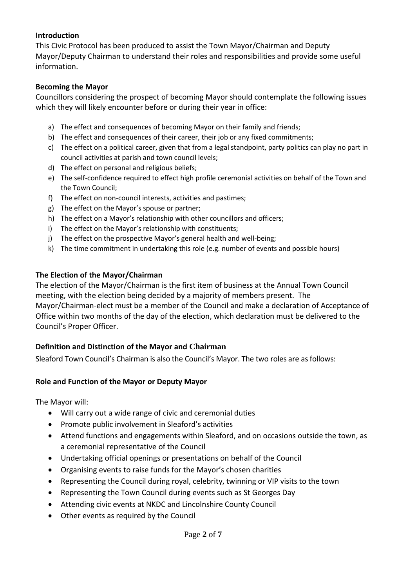#### **Introduction**

This Civic Protocol has been produced to assist the Town Mayor/Chairman and Deputy Mayor/Deputy Chairman to understand their roles and responsibilities and provide some useful information.

#### **Becoming the Mayor**

Councillors considering the prospect of becoming Mayor should contemplate the following issues which they will likely encounter before or during their year in office:

- a) The effect and consequences of becoming Mayor on their family and friends;
- b) The effect and consequences of their career, their job or any fixed commitments;
- c) The effect on a political career, given that from a legal standpoint, party politics can play no part in council activities at parish and town council levels;
- d) The effect on personal and religious beliefs;
- e) The self-confidence required to effect high profile ceremonial activities on behalf of the Town and the Town Council;
- f) The effect on non-council interests, activities and pastimes;
- g) The effect on the Mayor's spouse or partner;
- h) The effect on a Mayor's relationship with other councillors and officers;
- i) The effect on the Mayor's relationship with constituents;
- j) The effect on the prospective Mayor's general health and well-being;
- k) The time commitment in undertaking this role (e.g. number of events and possible hours)

#### **The Election of the Mayor/Chairman**

The election of the Mayor/Chairman is the first item of business at the Annual Town Council meeting, with the election being decided by a majority of members present. The Mayor/Chairman-elect must be a member of the Council and make a declaration of Acceptance of Office within two months of the day of the election, which declaration must be delivered to the Council's Proper Officer.

#### **Definition and Distinction of the Mayor and Chairman**

Sleaford Town Council's Chairman is also the Council's Mayor. The two roles are as follows:

#### **Role and Function of the Mayor or Deputy Mayor**

The Mayor will:

- Will carry out a wide range of civic and ceremonial duties
- Promote public involvement in Sleaford's activities
- Attend functions and engagements within Sleaford, and on occasions outside the town, as a ceremonial representative of the Council
- Undertaking official openings or presentations on behalf of the Council
- Organising events to raise funds for the Mayor's chosen charities
- Representing the Council during royal, celebrity, twinning or VIP visits to the town
- Representing the Town Council during events such as St Georges Day
- Attending civic events at NKDC and Lincolnshire County Council
- Other events as required by the Council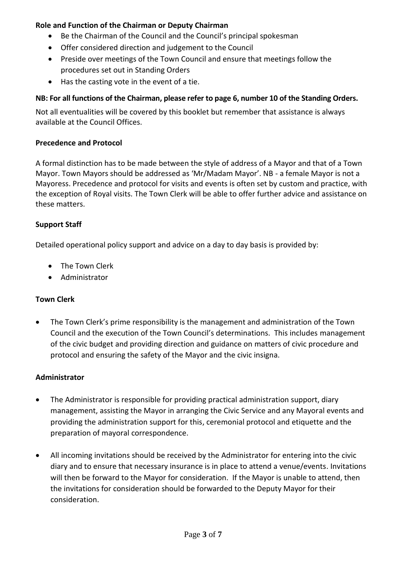## **Role and Function of the Chairman or Deputy Chairman**

- Be the Chairman of the Council and the Council's principal spokesman
- Offer considered direction and judgement to the Council
- Preside over meetings of the Town Council and ensure that meetings follow the procedures set out in Standing Orders
- Has the casting vote in the event of a tie.

## **NB: For all functions of the Chairman, please refer to page 6, number 10 of the Standing Orders.**

Not all eventualities will be covered by this booklet but remember that assistance is always available at the Council Offices.

## **Precedence and Protocol**

A formal distinction has to be made between the style of address of a Mayor and that of a Town Mayor. Town Mayors should be addressed as 'Mr/Madam Mayor'. NB - a female Mayor is not a Mayoress. Precedence and protocol for visits and events is often set by custom and practice, with the exception of Royal visits. The Town Clerk will be able to offer further advice and assistance on these matters.

# **Support Staff**

Detailed operational policy support and advice on a day to day basis is provided by:

- The Town Clerk
- Administrator

# **Town Clerk**

• The Town Clerk's prime responsibility is the management and administration of the Town Council and the execution of the Town Council's determinations. This includes management of the civic budget and providing direction and guidance on matters of civic procedure and protocol and ensuring the safety of the Mayor and the civic insigna.

## **Administrator**

- The Administrator is responsible for providing practical administration support, diary management, assisting the Mayor in arranging the Civic Service and any Mayoral events and providing the administration support for this, ceremonial protocol and etiquette and the preparation of mayoral correspondence.
- All incoming invitations should be received by the Administrator for entering into the civic diary and to ensure that necessary insurance is in place to attend a venue/events. Invitations will then be forward to the Mayor for consideration. If the Mayor is unable to attend, then the invitations for consideration should be forwarded to the Deputy Mayor for their consideration.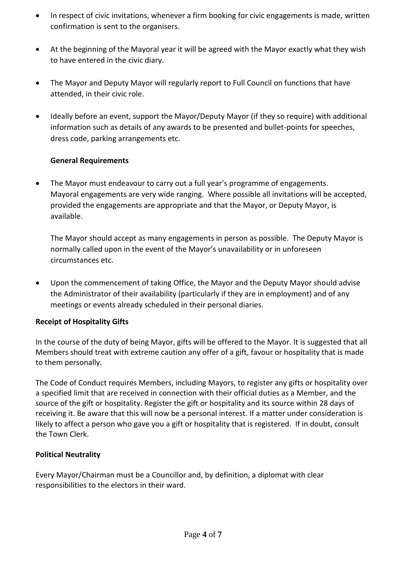- In respect of civic invitations, whenever a firm booking for civic engagements is made, written confirmation is sent to the organisers.
- At the beginning of the Mayoral year it will be agreed with the Mayor exactly what they wish to have entered in the civic diary.
- The Mayor and Deputy Mayor will regularly report to Full Council on functions that have attended, in their civic role.
- Ideally before an event, support the Mayor/Deputy Mayor (if they so require) with additional information such as details of any awards to be presented and bullet-points for speeches, dress code, parking arrangements etc.

## **General Requirements**

• The Mayor must endeavour to carry out a full year's programme of engagements. Mayoral engagements are very wide ranging. Where possible all invitations will be accepted, provided the engagements are appropriate and that the Mayor, or Deputy Mayor, is available.

The Mayor should accept as many engagements in person as possible. The Deputy Mayor is normally called upon in the event of the Mayor's unavailability or in unforeseen circumstances etc.

• Upon the commencement of taking Office, the Mayor and the Deputy Mayor should advise the Administrator of their availability (particularly if they are in employment) and of any meetings or events already scheduled in their personal diaries.

# **Receipt of Hospitality Gifts**

In the course of the duty of being Mayor, gifts will be offered to the Mayor. It is suggested that all Members should treat with extreme caution any offer of a gift, favour or hospitality that is made to them personally.

The Code of Conduct requires Members, including Mayors, to register any gifts or hospitality over a specified limit that are received in connection with their official duties as a Member, and the source of the gift or hospitality. Register the gift or hospitality and its source within 28 days of receiving it. Be aware that this will now be a personal interest. If a matter under consideration is likely to affect a person who gave you a gift or hospitality that is registered. If in doubt, consult the Town Clerk.

# **Political Neutrality**

Every Mayor/Chairman must be a Councillor and, by definition, a diplomat with clear responsibilities to the electors in their ward.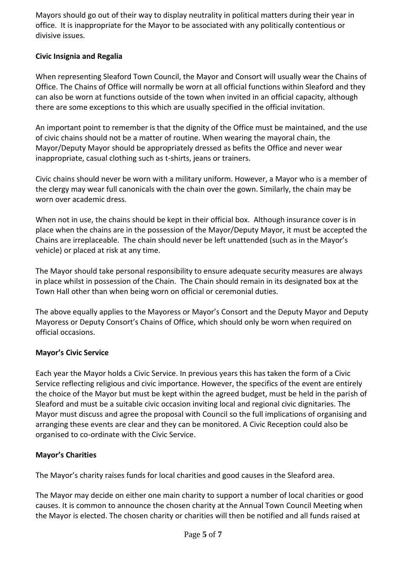Mayors should go out of their way to display neutrality in political matters during their year in office. It is inappropriate for the Mayor to be associated with any politically contentious or divisive issues.

## **Civic Insignia and Regalia**

When representing Sleaford Town Council, the Mayor and Consort will usually wear the Chains of Office. The Chains of Office will normally be worn at all official functions within Sleaford and they can also be worn at functions outside of the town when invited in an official capacity, although there are some exceptions to this which are usually specified in the official invitation.

An important point to remember is that the dignity of the Office must be maintained, and the use of civic chains should not be a matter of routine. When wearing the mayoral chain, the Mayor/Deputy Mayor should be appropriately dressed as befits the Office and never wear inappropriate, casual clothing such as t-shirts, jeans or trainers.

Civic chains should never be worn with a military uniform. However, a Mayor who is a member of the clergy may wear full canonicals with the chain over the gown. Similarly, the chain may be worn over academic dress.

When not in use, the chains should be kept in their official box. Although insurance cover is in place when the chains are in the possession of the Mayor/Deputy Mayor, it must be accepted the Chains are irreplaceable. The chain should never be left unattended (such as in the Mayor's vehicle) or placed at risk at any time.

The Mayor should take personal responsibility to ensure adequate security measures are always in place whilst in possession of the Chain. The Chain should remain in its designated box at the Town Hall other than when being worn on official or ceremonial duties.

The above equally applies to the Mayoress or Mayor's Consort and the Deputy Mayor and Deputy Mayoress or Deputy Consort's Chains of Office, which should only be worn when required on official occasions.

# **Mayor's Civic Service**

Each year the Mayor holds a Civic Service. In previous years this has taken the form of a Civic Service reflecting religious and civic importance. However, the specifics of the event are entirely the choice of the Mayor but must be kept within the agreed budget, must be held in the parish of Sleaford and must be a suitable civic occasion inviting local and regional civic dignitaries. The Mayor must discuss and agree the proposal with Council so the full implications of organising and arranging these events are clear and they can be monitored. A Civic Reception could also be organised to co-ordinate with the Civic Service.

## **Mayor's Charities**

The Mayor's charity raises funds for local charities and good causes in the Sleaford area.

The Mayor may decide on either one main charity to support a number of local charities or good causes. It is common to announce the chosen charity at the Annual Town Council Meeting when the Mayor is elected. The chosen charity or charities will then be notified and all funds raised at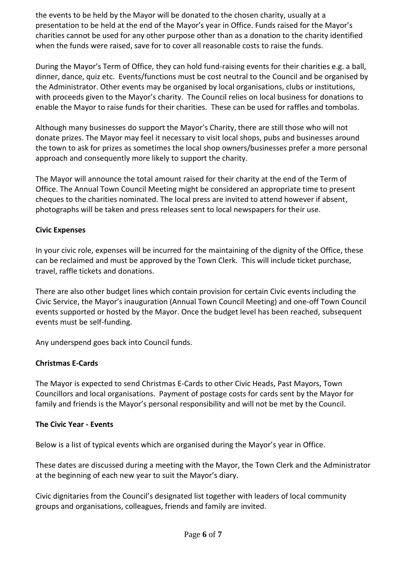the events to be held by the Mayor will be donated to the chosen charity, usually at a presentation to be held at the end of the Mayor's year in Office. Funds raised for the Mayor's charities cannot be used for any other purpose other than as a donation to the charity identified when the funds were raised, save for to cover all reasonable costs to raise the funds.

During the Mayor's Term of Office, they can hold fund-raising events for their charities e.g. a ball, dinner, dance, quiz etc. Events/functions must be cost neutral to the Council and be organised by the Administrator. Other events may be organised by local organisations, clubs or institutions, with proceeds given to the Mayor's charity. The Council relies on local business for donations to enable the Mayor to raise funds for their charities. These can be used for raffles and tombolas.

Although many businesses do support the Mayor's Charity, there are still those who will not donate prizes. The Mayor may feel it necessary to visit local shops, pubs and businesses around the town to ask for prizes as sometimes the local shop owners/businesses prefer a more personal approach and consequently more likely to support the charity.

The Mayor will announce the total amount raised for their charity at the end of the Term of Office. The Annual Town Council Meeting might be considered an appropriate time to present cheques to the charities nominated. The local press are invited to attend however if absent, photographs will be taken and press releases sent to local newspapers for their use.

## **Civic Expenses**

In your civic role, expenses will be incurred for the maintaining of the dignity of the Office, these can be reclaimed and must be approved by the Town Clerk. This will include ticket purchase, travel, raffle tickets and donations.

There are also other budget lines which contain provision for certain Civic events including the Civic Service, the Mayor's inauguration (Annual Town Council Meeting) and one-off Town Council events supported or hosted by the Mayor. Once the budget level has been reached, subsequent events must be self-funding.

Any underspend goes back into Council funds.

# **Christmas E-Cards**

The Mayor is expected to send Christmas E-Cards to other Civic Heads, Past Mayors, Town Councillors and local organisations. Payment of postage costs for cards sent by the Mayor for family and friends is the Mayor's personal responsibility and will not be met by the Council.

# **The Civic Year - Events**

Below is a list of typical events which are organised during the Mayor's year in Office.

These dates are discussed during a meeting with the Mayor, the Town Clerk and the Administrator at the beginning of each new year to suit the Mayor's diary.

Civic dignitaries from the Council's designated list together with leaders of local community groups and organisations, colleagues, friends and family are invited.